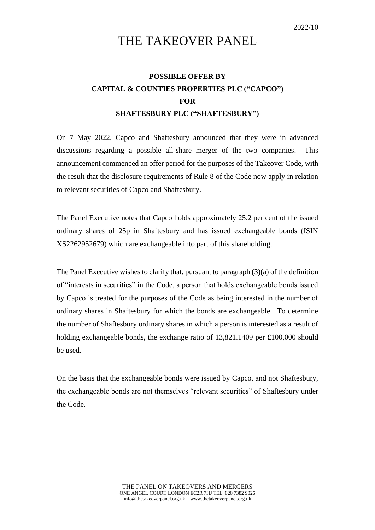## THE TAKEOVER PANEL

## **POSSIBLE OFFER BY CAPITAL & COUNTIES PROPERTIES PLC ("CAPCO") FOR SHAFTESBURY PLC ("SHAFTESBURY")**

On 7 May 2022, Capco and Shaftesbury announced that they were in advanced discussions regarding a possible all-share merger of the two companies. This announcement commenced an offer period for the purposes of the Takeover Code, with the result that the disclosure requirements of Rule 8 of the Code now apply in relation to relevant securities of Capco and Shaftesbury.

The Panel Executive notes that Capco holds approximately 25.2 per cent of the issued ordinary shares of 25p in Shaftesbury and has issued exchangeable bonds (ISIN XS2262952679) which are exchangeable into part of this shareholding.

The Panel Executive wishes to clarify that, pursuant to paragraph (3)(a) of the definition of "interests in securities" in the Code, a person that holds exchangeable bonds issued by Capco is treated for the purposes of the Code as being interested in the number of ordinary shares in Shaftesbury for which the bonds are exchangeable. To determine the number of Shaftesbury ordinary shares in which a person is interested as a result of holding exchangeable bonds, the exchange ratio of 13,821.1409 per £100,000 should be used.

On the basis that the exchangeable bonds were issued by Capco, and not Shaftesbury, the exchangeable bonds are not themselves "relevant securities" of Shaftesbury under the Code.